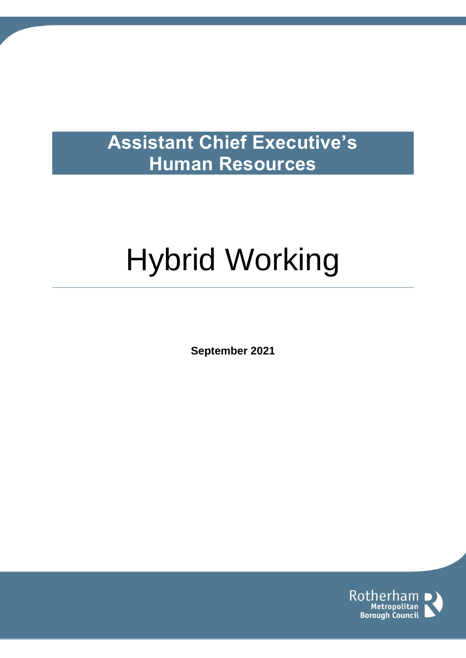# **Assistant Chief Executive's Human Resources**

# Hybrid Working

**September 2021**

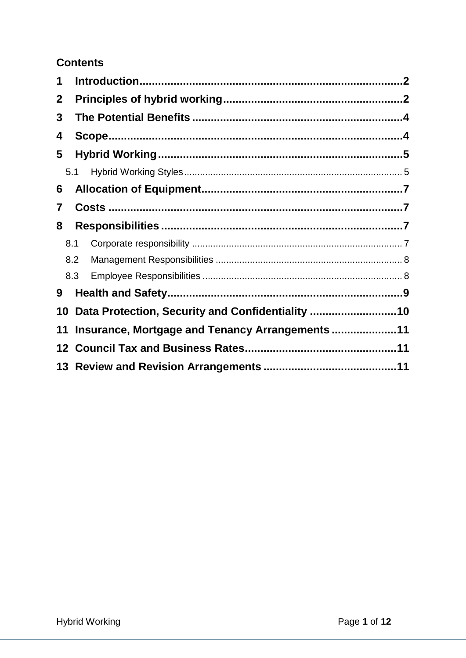# **Contents**

| 1            |     |     |                                                 |  |
|--------------|-----|-----|-------------------------------------------------|--|
| $\mathbf{2}$ |     |     |                                                 |  |
| 3            |     |     |                                                 |  |
| 4            |     |     |                                                 |  |
| 5            |     |     |                                                 |  |
|              |     | 5.1 |                                                 |  |
| 6            |     |     |                                                 |  |
| 7            |     |     |                                                 |  |
| 8            |     |     |                                                 |  |
|              | 8.1 |     |                                                 |  |
|              | 8.2 |     |                                                 |  |
|              | 8.3 |     |                                                 |  |
| 9            |     |     |                                                 |  |
| 10           |     |     | Data Protection, Security and Confidentiality   |  |
| 11           |     |     | Insurance, Mortgage and Tenancy Arrangements 11 |  |
| 12           |     |     |                                                 |  |
|              |     |     |                                                 |  |
|              |     |     |                                                 |  |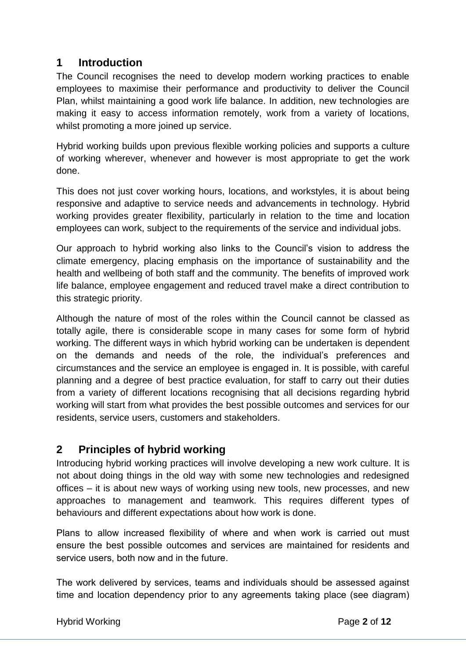### <span id="page-2-0"></span>**1 Introduction**

The Council recognises the need to develop modern working practices to enable employees to maximise their performance and productivity to deliver the Council Plan, whilst maintaining a good work life balance. In addition, new technologies are making it easy to access information remotely, work from a variety of locations, whilst promoting a more joined up service.

Hybrid working builds upon previous flexible working policies and supports a culture of working wherever, whenever and however is most appropriate to get the work done.

This does not just cover working hours, locations, and workstyles, it is about being responsive and adaptive to service needs and advancements in technology. Hybrid working provides greater flexibility, particularly in relation to the time and location employees can work, subject to the requirements of the service and individual jobs.

Our approach to hybrid working also links to the Council's vision to address the climate emergency, placing emphasis on the importance of sustainability and the health and wellbeing of both staff and the community. The benefits of improved work life balance, employee engagement and reduced travel make a direct contribution to this strategic priority.

Although the nature of most of the roles within the Council cannot be classed as totally agile, there is considerable scope in many cases for some form of hybrid working. The different ways in which hybrid working can be undertaken is dependent on the demands and needs of the role, the individual's preferences and circumstances and the service an employee is engaged in. It is possible, with careful planning and a degree of best practice evaluation, for staff to carry out their duties from a variety of different locations recognising that all decisions regarding hybrid working will start from what provides the best possible outcomes and services for our residents, service users, customers and stakeholders.

# <span id="page-2-1"></span>**2 Principles of hybrid working**

Introducing hybrid working practices will involve developing a new work culture. It is not about doing things in the old way with some new technologies and redesigned offices – it is about new ways of working using new tools, new processes, and new approaches to management and teamwork. This requires different types of behaviours and different expectations about how work is done.

Plans to allow increased flexibility of where and when work is carried out must ensure the best possible outcomes and services are maintained for residents and service users, both now and in the future.

The work delivered by services, teams and individuals should be assessed against time and location dependency prior to any agreements taking place (see diagram)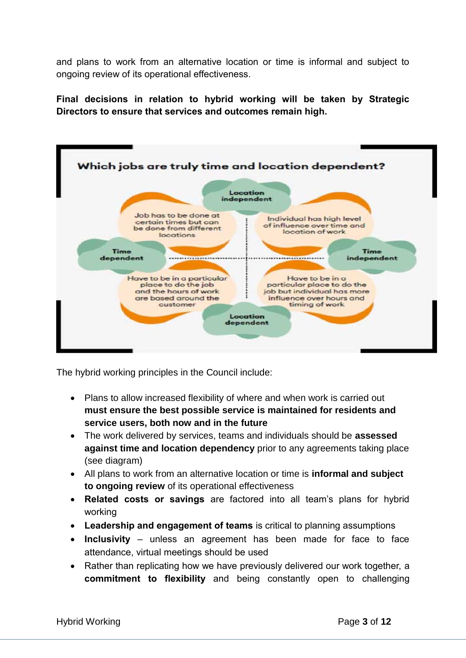and plans to work from an alternative location or time is informal and subject to ongoing review of its operational effectiveness.

**Final decisions in relation to hybrid working will be taken by Strategic Directors to ensure that services and outcomes remain high.** 



The hybrid working principles in the Council include:

- Plans to allow increased flexibility of where and when work is carried out **must ensure the best possible service is maintained for residents and service users, both now and in the future**
- The work delivered by services, teams and individuals should be **assessed against time and location dependency** prior to any agreements taking place (see diagram)
- All plans to work from an alternative location or time is **informal and subject to ongoing review** of its operational effectiveness
- **Related costs or savings** are factored into all team's plans for hybrid working
- **Leadership and engagement of teams** is critical to planning assumptions
- **Inclusivity** unless an agreement has been made for face to face attendance, virtual meetings should be used
- Rather than replicating how we have previously delivered our work together, a **commitment to flexibility** and being constantly open to challenging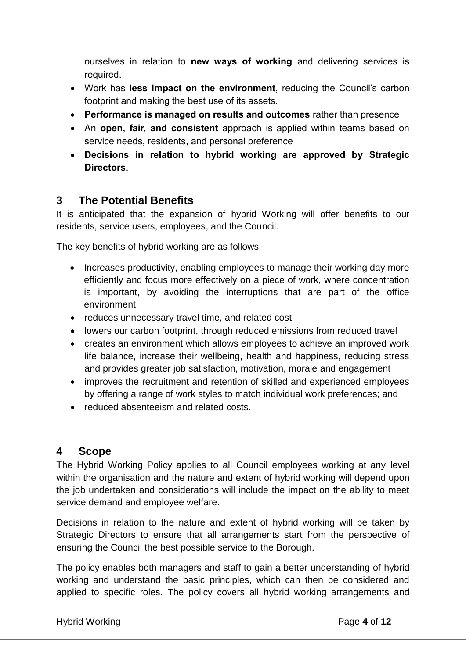ourselves in relation to **new ways of working** and delivering services is required.

- Work has **less impact on the environment**, reducing the Council's carbon footprint and making the best use of its assets.
- **Performance is managed on results and outcomes** rather than presence
- An **open, fair, and consistent** approach is applied within teams based on service needs, residents, and personal preference
- **Decisions in relation to hybrid working are approved by Strategic Directors**.

# <span id="page-4-0"></span>**3 The Potential Benefits**

It is anticipated that the expansion of hybrid Working will offer benefits to our residents, service users, employees, and the Council.

The key benefits of hybrid working are as follows:

- Increases productivity, enabling employees to manage their working day more efficiently and focus more effectively on a piece of work, where concentration is important, by avoiding the interruptions that are part of the office environment
- reduces unnecessary travel time, and related cost
- lowers our carbon footprint, through reduced emissions from reduced travel
- creates an environment which allows employees to achieve an improved work life balance, increase their wellbeing, health and happiness, reducing stress and provides greater job satisfaction, motivation, morale and engagement
- improves the recruitment and retention of skilled and experienced employees by offering a range of work styles to match individual work preferences; and
- reduced absenteeism and related costs.

### <span id="page-4-1"></span>**4 Scope**

The Hybrid Working Policy applies to all Council employees working at any level within the organisation and the nature and extent of hybrid working will depend upon the job undertaken and considerations will include the impact on the ability to meet service demand and employee welfare.

Decisions in relation to the nature and extent of hybrid working will be taken by Strategic Directors to ensure that all arrangements start from the perspective of ensuring the Council the best possible service to the Borough.

The policy enables both managers and staff to gain a better understanding of hybrid working and understand the basic principles, which can then be considered and applied to specific roles. The policy covers all hybrid working arrangements and

#### Hybrid Working **Page 4** of **12**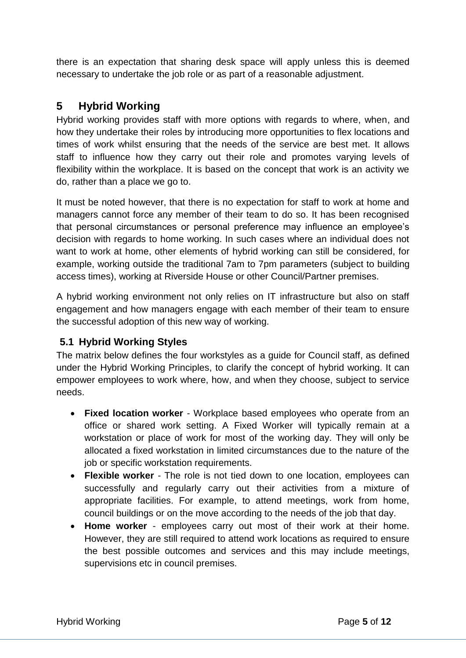there is an expectation that sharing desk space will apply unless this is deemed necessary to undertake the job role or as part of a reasonable adjustment.

### <span id="page-5-0"></span>**5 Hybrid Working**

Hybrid working provides staff with more options with regards to where, when, and how they undertake their roles by introducing more opportunities to flex locations and times of work whilst ensuring that the needs of the service are best met. It allows staff to influence how they carry out their role and promotes varying levels of flexibility within the workplace. It is based on the concept that work is an activity we do, rather than a place we go to.

It must be noted however, that there is no expectation for staff to work at home and managers cannot force any member of their team to do so. It has been recognised that personal circumstances or personal preference may influence an employee's decision with regards to home working. In such cases where an individual does not want to work at home, other elements of hybrid working can still be considered, for example, working outside the traditional 7am to 7pm parameters (subject to building access times), working at Riverside House or other Council/Partner premises.

A hybrid working environment not only relies on IT infrastructure but also on staff engagement and how managers engage with each member of their team to ensure the successful adoption of this new way of working.

#### <span id="page-5-1"></span>**5.1 Hybrid Working Styles**

The matrix below defines the four workstyles as a guide for Council staff, as defined under the Hybrid Working Principles, to clarify the concept of hybrid working. It can empower employees to work where, how, and when they choose, subject to service needs.

- **Fixed location worker** Workplace based employees who operate from an office or shared work setting. A Fixed Worker will typically remain at a workstation or place of work for most of the working day. They will only be allocated a fixed workstation in limited circumstances due to the nature of the job or specific workstation requirements.
- **Flexible worker** The role is not tied down to one location, employees can successfully and regularly carry out their activities from a mixture of appropriate facilities. For example, to attend meetings, work from home, council buildings or on the move according to the needs of the job that day.
- **Home worker** employees carry out most of their work at their home. However, they are still required to attend work locations as required to ensure the best possible outcomes and services and this may include meetings, supervisions etc in council premises.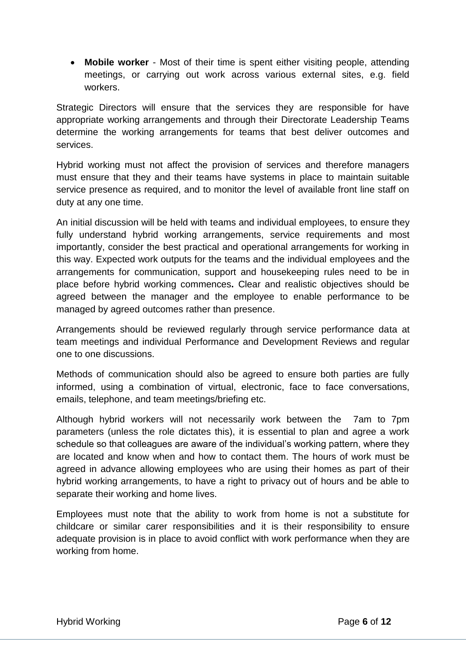**Mobile worker** - Most of their time is spent either visiting people, attending meetings, or carrying out work across various external sites, e.g. field workers.

Strategic Directors will ensure that the services they are responsible for have appropriate working arrangements and through their Directorate Leadership Teams determine the working arrangements for teams that best deliver outcomes and services.

Hybrid working must not affect the provision of services and therefore managers must ensure that they and their teams have systems in place to maintain suitable service presence as required, and to monitor the level of available front line staff on duty at any one time.

An initial discussion will be held with teams and individual employees, to ensure they fully understand hybrid working arrangements, service requirements and most importantly, consider the best practical and operational arrangements for working in this way. Expected work outputs for the teams and the individual employees and the arrangements for communication, support and housekeeping rules need to be in place before hybrid working commences**.** Clear and realistic objectives should be agreed between the manager and the employee to enable performance to be managed by agreed outcomes rather than presence.

Arrangements should be reviewed regularly through service performance data at team meetings and individual Performance and Development Reviews and regular one to one discussions.

Methods of communication should also be agreed to ensure both parties are fully informed, using a combination of virtual, electronic, face to face conversations, emails, telephone, and team meetings/briefing etc.

Although hybrid workers will not necessarily work between the 7am to 7pm parameters (unless the role dictates this), it is essential to plan and agree a work schedule so that colleagues are aware of the individual's working pattern, where they are located and know when and how to contact them. The hours of work must be agreed in advance allowing employees who are using their homes as part of their hybrid working arrangements, to have a right to privacy out of hours and be able to separate their working and home lives.

Employees must note that the ability to work from home is not a substitute for childcare or similar carer responsibilities and it is their responsibility to ensure adequate provision is in place to avoid conflict with work performance when they are working from home.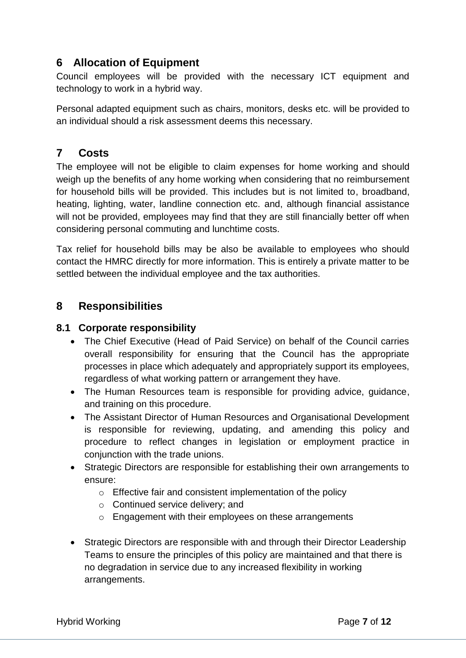# <span id="page-7-0"></span>**6 Allocation of Equipment**

Council employees will be provided with the necessary ICT equipment and technology to work in a hybrid way.

Personal adapted equipment such as chairs, monitors, desks etc. will be provided to an individual should a risk assessment deems this necessary.

### <span id="page-7-1"></span>**7 Costs**

The employee will not be eligible to claim expenses for home working and should weigh up the benefits of any home working when considering that no reimbursement for household bills will be provided. This includes but is not limited to, broadband, heating, lighting, water, landline connection etc. and, although financial assistance will not be provided, employees may find that they are still financially better off when considering personal commuting and lunchtime costs.

Tax relief for household bills may be also be available to employees who should contact the HMRC directly for more information. This is entirely a private matter to be settled between the individual employee and the tax authorities.

### <span id="page-7-2"></span>**8 Responsibilities**

#### <span id="page-7-3"></span>**8.1 Corporate responsibility**

- The Chief Executive (Head of Paid Service) on behalf of the Council carries overall responsibility for ensuring that the Council has the appropriate processes in place which adequately and appropriately support its employees, regardless of what working pattern or arrangement they have.
- The Human Resources team is responsible for providing advice, guidance, and training on this procedure.
- The Assistant Director of Human Resources and Organisational Development is responsible for reviewing, updating, and amending this policy and procedure to reflect changes in legislation or employment practice in conjunction with the trade unions.
- Strategic Directors are responsible for establishing their own arrangements to ensure:
	- o Effective fair and consistent implementation of the policy
	- o Continued service delivery; and
	- o Engagement with their employees on these arrangements
- Strategic Directors are responsible with and through their Director Leadership Teams to ensure the principles of this policy are maintained and that there is no degradation in service due to any increased flexibility in working arrangements.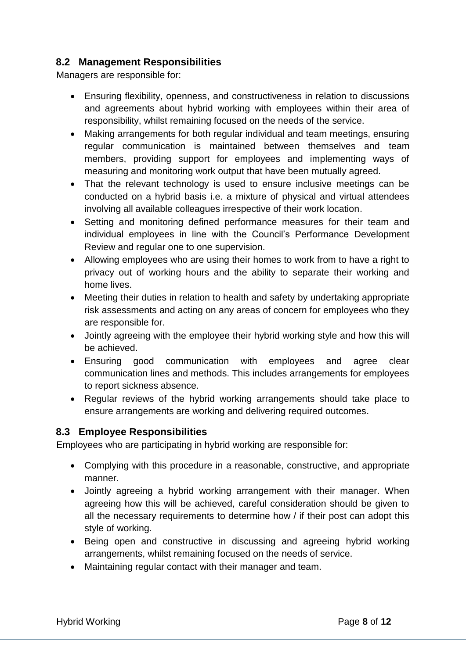#### <span id="page-8-0"></span>**8.2 Management Responsibilities**

Managers are responsible for:

- Ensuring flexibility, openness, and constructiveness in relation to discussions and agreements about hybrid working with employees within their area of responsibility, whilst remaining focused on the needs of the service.
- Making arrangements for both regular individual and team meetings, ensuring regular communication is maintained between themselves and team members, providing support for employees and implementing ways of measuring and monitoring work output that have been mutually agreed.
- That the relevant technology is used to ensure inclusive meetings can be conducted on a hybrid basis i.e. a mixture of physical and virtual attendees involving all available colleagues irrespective of their work location.
- Setting and monitoring defined performance measures for their team and individual employees in line with the Council's Performance Development Review and regular one to one supervision.
- Allowing employees who are using their homes to work from to have a right to privacy out of working hours and the ability to separate their working and home lives.
- Meeting their duties in relation to health and safety by undertaking appropriate risk assessments and acting on any areas of concern for employees who they are responsible for.
- Jointly agreeing with the employee their hybrid working style and how this will be achieved.
- Ensuring good communication with employees and agree clear communication lines and methods. This includes arrangements for employees to report sickness absence.
- Regular reviews of the hybrid working arrangements should take place to ensure arrangements are working and delivering required outcomes.

#### <span id="page-8-1"></span>**8.3 Employee Responsibilities**

Employees who are participating in hybrid working are responsible for:

- Complying with this procedure in a reasonable, constructive, and appropriate manner.
- Jointly agreeing a hybrid working arrangement with their manager. When agreeing how this will be achieved, careful consideration should be given to all the necessary requirements to determine how / if their post can adopt this style of working.
- Being open and constructive in discussing and agreeing hybrid working arrangements, whilst remaining focused on the needs of service.
- Maintaining regular contact with their manager and team.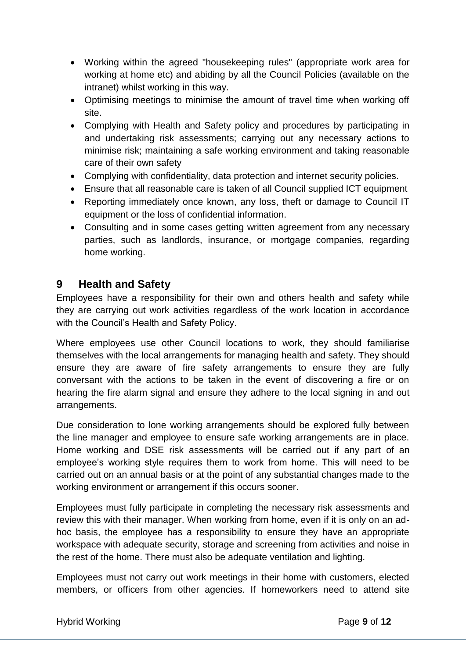- Working within the agreed "housekeeping rules" (appropriate work area for working at home etc) and abiding by all the Council Policies (available on the intranet) whilst working in this way.
- Optimising meetings to minimise the amount of travel time when working off site.
- Complying with Health and Safety policy and procedures by participating in and undertaking risk assessments; carrying out any necessary actions to minimise risk; maintaining a safe working environment and taking reasonable care of their own safety
- Complying with confidentiality, data protection and internet security policies.
- Ensure that all reasonable care is taken of all Council supplied ICT equipment
- Reporting immediately once known, any loss, theft or damage to Council IT equipment or the loss of confidential information.
- Consulting and in some cases getting written agreement from any necessary parties, such as landlords, insurance, or mortgage companies, regarding home working.

#### <span id="page-9-0"></span>**9 Health and Safety**

Employees have a responsibility for their own and others health and safety while they are carrying out work activities regardless of the work location in accordance with the Council's Health and Safety Policy.

Where employees use other Council locations to work, they should familiarise themselves with the local arrangements for managing health and safety. They should ensure they are aware of fire safety arrangements to ensure they are fully conversant with the actions to be taken in the event of discovering a fire or on hearing the fire alarm signal and ensure they adhere to the local signing in and out arrangements.

Due consideration to lone working arrangements should be explored fully between the line manager and employee to ensure safe working arrangements are in place. Home working and DSE risk assessments will be carried out if any part of an employee's working style requires them to work from home. This will need to be carried out on an annual basis or at the point of any substantial changes made to the working environment or arrangement if this occurs sooner.

Employees must fully participate in completing the necessary risk assessments and review this with their manager. When working from home, even if it is only on an adhoc basis, the employee has a responsibility to ensure they have an appropriate workspace with adequate security, storage and screening from activities and noise in the rest of the home. There must also be adequate ventilation and lighting.

Employees must not carry out work meetings in their home with customers, elected members, or officers from other agencies. If homeworkers need to attend site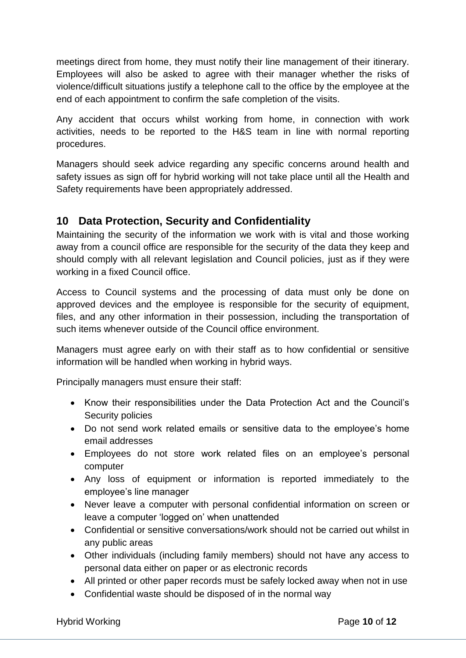meetings direct from home, they must notify their line management of their itinerary. Employees will also be asked to agree with their manager whether the risks of violence/difficult situations justify a telephone call to the office by the employee at the end of each appointment to confirm the safe completion of the visits.

Any accident that occurs whilst working from home, in connection with work activities, needs to be reported to the H&S team in line with normal reporting procedures.

Managers should seek advice regarding any specific concerns around health and safety issues as sign off for hybrid working will not take place until all the Health and Safety requirements have been appropriately addressed.

### <span id="page-10-0"></span>**10 Data Protection, Security and Confidentiality**

Maintaining the security of the information we work with is vital and those working away from a council office are responsible for the security of the data they keep and should comply with all relevant legislation and Council policies, just as if they were working in a fixed Council office.

Access to Council systems and the processing of data must only be done on approved devices and the employee is responsible for the security of equipment, files, and any other information in their possession, including the transportation of such items whenever outside of the Council office environment.

Managers must agree early on with their staff as to how confidential or sensitive information will be handled when working in hybrid ways.

Principally managers must ensure their staff:

- Know their responsibilities under the Data Protection Act and the Council's Security policies
- Do not send work related emails or sensitive data to the employee's home email addresses
- Employees do not store work related files on an employee's personal computer
- Any loss of equipment or information is reported immediately to the employee's line manager
- Never leave a computer with personal confidential information on screen or leave a computer 'logged on' when unattended
- Confidential or sensitive conversations/work should not be carried out whilst in any public areas
- Other individuals (including family members) should not have any access to personal data either on paper or as electronic records
- All printed or other paper records must be safely locked away when not in use
- Confidential waste should be disposed of in the normal way

#### Hybrid Working **Page 10** of 12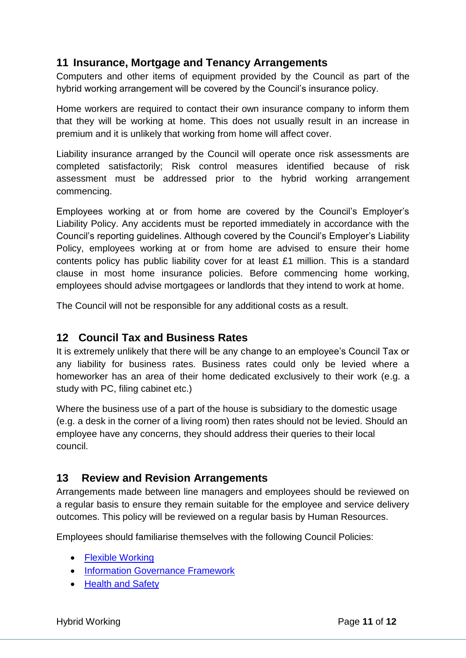### <span id="page-11-0"></span>**11 Insurance, Mortgage and Tenancy Arrangements**

Computers and other items of equipment provided by the Council as part of the hybrid working arrangement will be covered by the Council's insurance policy.

Home workers are required to contact their own insurance company to inform them that they will be working at home. This does not usually result in an increase in premium and it is unlikely that working from home will affect cover.

Liability insurance arranged by the Council will operate once risk assessments are completed satisfactorily; Risk control measures identified because of risk assessment must be addressed prior to the hybrid working arrangement commencing.

Employees working at or from home are covered by the Council's Employer's Liability Policy. Any accidents must be reported immediately in accordance with the Council's reporting guidelines. Although covered by the Council's Employer's Liability Policy, employees working at or from home are advised to ensure their home contents policy has public liability cover for at least £1 million. This is a standard clause in most home insurance policies. Before commencing home working, employees should advise mortgagees or landlords that they intend to work at home.

The Council will not be responsible for any additional costs as a result.

#### <span id="page-11-1"></span>**12 Council Tax and Business Rates**

It is extremely unlikely that there will be any change to an employee's Council Tax or any liability for business rates. Business rates could only be levied where a homeworker has an area of their home dedicated exclusively to their work (e.g. a study with PC, filing cabinet etc.)

Where the business use of a part of the house is subsidiary to the domestic usage (e.g. a desk in the corner of a living room) then rates should not be levied. Should an employee have any concerns, they should address their queries to their local council.

#### <span id="page-11-2"></span>**13 Review and Revision Arrangements**

Arrangements made between line managers and employees should be reviewed on a regular basis to ensure they remain suitable for the employee and service delivery outcomes. This policy will be reviewed on a regular basis by Human Resources.

Employees should familiarise themselves with the following Council Policies:

- [Flexible Working](http://rmbcintranet/Directorates/ACE/HRandPayroll/A-ZofHRInformation/FlexibleWorking/default.aspx)
- **[Information Governance Framework](http://rmbcintranet/Directorates/FCS/CIDS/IM/default.aspx)**
- [Health and Safety](http://rmbcintranet/Directorates/RES/ss/ESP/HS/Old_default.aspx)